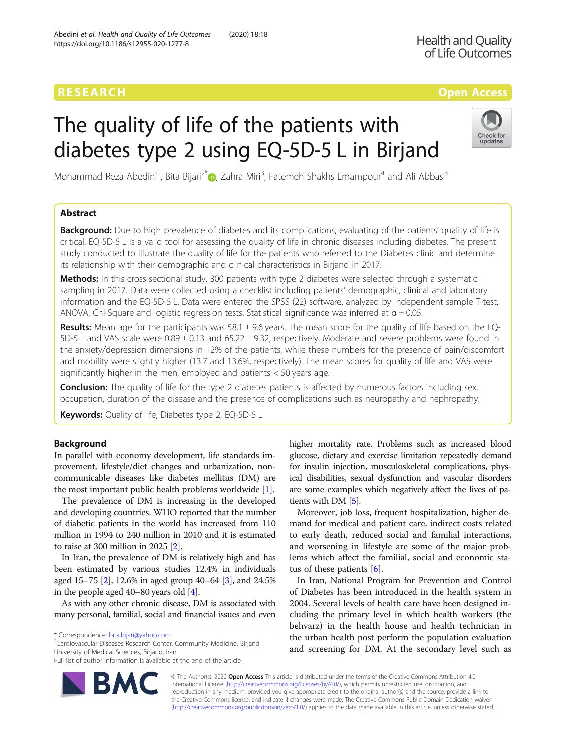## RESEARCH **RESEARCH CONSUMING THE CONSUMING TEACHER CONSUMING THE CONSUMING TEACHER CONSUMING THE CONSUMING TEACHER CONSUMING THE CONSUMING TEACHER CONSUMING THE CONSUMING TEACHER CONSUMING THE CONSUMING TEACHER CONSUMING**

# The quality of life of the patients with diabetes type 2 using EQ-5D-5 L in Birjand



Mohammad Reza Abedini<sup>1</sup>[,](http://orcid.org/0000-0001-5318-9546) Bita Bijari<sup>2\*</sup>®, Zahra Miri<sup>3</sup>, Fatemeh Shakhs Emampour<sup>4</sup> and Ali Abbasi<sup>5</sup>

## Abstract

**Background:** Due to high prevalence of diabetes and its complications, evaluating of the patients' quality of life is critical. EQ-5D-5 L is a valid tool for assessing the quality of life in chronic diseases including diabetes. The present study conducted to illustrate the quality of life for the patients who referred to the Diabetes clinic and determine its relationship with their demographic and clinical characteristics in Birjand in 2017.

Methods: In this cross-sectional study, 300 patients with type 2 diabetes were selected through a systematic sampling in 2017. Data were collected using a checklist including patients' demographic, clinical and laboratory information and the EQ-5D-5 L. Data were entered the SPSS (22) software, analyzed by independent sample T-test, ANOVA, Chi-Square and logistic regression tests. Statistical significance was inferred at  $\alpha$  = 0.05.

**Results:** Mean age for the participants was 58.1  $\pm$  9.6 years. The mean score for the quality of life based on the EQ-5D-5 L and VAS scale were 0.89 ± 0.13 and 65.22 ± 9.32, respectively. Moderate and severe problems were found in the anxiety/depression dimensions in 12% of the patients, while these numbers for the presence of pain/discomfort and mobility were slightly higher (13.7 and 13.6%, respectively). The mean scores for quality of life and VAS were significantly higher in the men, employed and patients < 50 years age.

**Conclusion:** The quality of life for the type 2 diabetes patients is affected by numerous factors including sex, occupation, duration of the disease and the presence of complications such as neuropathy and nephropathy.

Keywords: Quality of life, Diabetes type 2, EQ-5D-5 L

## Background

In parallel with economy development, life standards improvement, lifestyle/diet changes and urbanization, noncommunicable diseases like diabetes mellitus (DM) are the most important public health problems worldwide [\[1\]](#page-8-0).

The prevalence of DM is increasing in the developed and developing countries. WHO reported that the number of diabetic patients in the world has increased from 110 million in 1994 to 240 million in 2010 and it is estimated to raise at 300 million in 2025  $[2]$ .

In Iran, the prevalence of DM is relatively high and has been estimated by various studies 12.4% in individuals aged 15–75 [[2\]](#page-8-0), 12.6% in aged group 40–64 [[3\]](#page-8-0), and 24.5% in the people aged 40–80 years old [[4](#page-8-0)].

As with any other chronic disease, DM is associated with many personal, familial, social and financial issues and even

<sup>2</sup>Cardiovascular Diseases Research Center, Community Medicine, Birjand University of Medical Sciences, Birjand, Iran

Full list of author information is available at the end of the article



higher mortality rate. Problems such as increased blood glucose, dietary and exercise limitation repeatedly demand for insulin injection, musculoskeletal complications, physical disabilities, sexual dysfunction and vascular disorders are some examples which negatively affect the lives of patients with DM [\[5\]](#page-8-0).

Moreover, job loss, frequent hospitalization, higher demand for medical and patient care, indirect costs related to early death, reduced social and familial interactions, and worsening in lifestyle are some of the major problems which affect the familial, social and economic status of these patients [\[6\]](#page-8-0).

In Iran, National Program for Prevention and Control of Diabetes has been introduced in the health system in 2004. Several levels of health care have been designed including the primary level in which health workers (the behvarz) in the health house and health technician in the urban health post perform the population evaluation and screening for DM. At the secondary level such as

© The Author(s). 2020 **Open Access** This article is distributed under the terms of the Creative Commons Attribution 4.0 International License [\(http://creativecommons.org/licenses/by/4.0/](http://creativecommons.org/licenses/by/4.0/)), which permits unrestricted use, distribution, and reproduction in any medium, provided you give appropriate credit to the original author(s) and the source, provide a link to the Creative Commons license, and indicate if changes were made. The Creative Commons Public Domain Dedication waiver [\(http://creativecommons.org/publicdomain/zero/1.0/](http://creativecommons.org/publicdomain/zero/1.0/)) applies to the data made available in this article, unless otherwise stated.

<sup>\*</sup> Correspondence: [bita.bijari@yahoo.com](mailto:bita.bijari@yahoo.com) <sup>2</sup>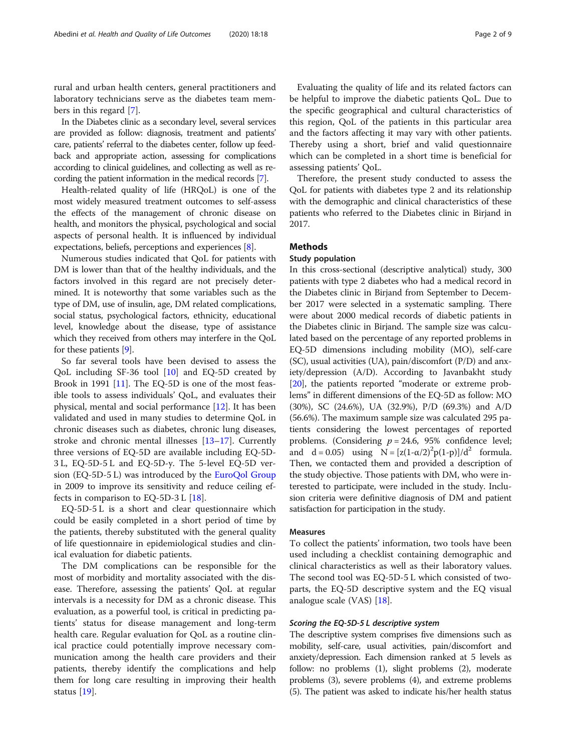rural and urban health centers, general practitioners and laboratory technicians serve as the diabetes team members in this regard [\[7](#page-8-0)].

In the Diabetes clinic as a secondary level, several services are provided as follow: diagnosis, treatment and patients' care, patients' referral to the diabetes center, follow up feedback and appropriate action, assessing for complications according to clinical guidelines, and collecting as well as recording the patient information in the medical records [\[7\]](#page-8-0).

Health-related quality of life (HRQoL) is one of the most widely measured treatment outcomes to self-assess the effects of the management of chronic disease on health, and monitors the physical, psychological and social aspects of personal health. It is influenced by individual expectations, beliefs, perceptions and experiences [\[8](#page-8-0)].

Numerous studies indicated that QoL for patients with DM is lower than that of the healthy individuals, and the factors involved in this regard are not precisely determined. It is noteworthy that some variables such as the type of DM, use of insulin, age, DM related complications, social status, psychological factors, ethnicity, educational level, knowledge about the disease, type of assistance which they received from others may interfere in the QoL for these patients [\[9\]](#page-8-0).

So far several tools have been devised to assess the QoL including SF-36 tool [\[10\]](#page-8-0) and EQ-5D created by Brook in 1991 [\[11\]](#page-8-0). The EQ-5D is one of the most feasible tools to assess individuals' QoL, and evaluates their physical, mental and social performance [\[12](#page-8-0)]. It has been validated and used in many studies to determine QoL in chronic diseases such as diabetes, chronic lung diseases, stroke and chronic mental illnesses [[13](#page-8-0)–[17](#page-8-0)]. Currently three versions of EQ-5D are available including EQ-5D-3 L, EQ-5D-5 L and EQ-5D-y. The 5-level EQ-5D version (EQ-5D-5 L) was introduced by the [EuroQol Group](https://euroqol.org/euroqol/) in 2009 to improve its sensitivity and reduce ceiling effects in comparison to EQ-5D-3 L [\[18\]](#page-8-0).

EQ-5D-5 L is a short and clear questionnaire which could be easily completed in a short period of time by the patients, thereby substituted with the general quality of life questionnaire in epidemiological studies and clinical evaluation for diabetic patients.

The DM complications can be responsible for the most of morbidity and mortality associated with the disease. Therefore, assessing the patients' QoL at regular intervals is a necessity for DM as a chronic disease. This evaluation, as a powerful tool, is critical in predicting patients' status for disease management and long-term health care. Regular evaluation for QoL as a routine clinical practice could potentially improve necessary communication among the health care providers and their patients, thereby identify the complications and help them for long care resulting in improving their health status [\[19](#page-8-0)].

Evaluating the quality of life and its related factors can be helpful to improve the diabetic patients QoL. Due to the specific geographical and cultural characteristics of this region, QoL of the patients in this particular area and the factors affecting it may vary with other patients. Thereby using a short, brief and valid questionnaire which can be completed in a short time is beneficial for

Therefore, the present study conducted to assess the QoL for patients with diabetes type 2 and its relationship with the demographic and clinical characteristics of these patients who referred to the Diabetes clinic in Birjand in 2017.

## **Methods**

## Study population

assessing patients' QoL.

In this cross-sectional (descriptive analytical) study, 300 patients with type 2 diabetes who had a medical record in the Diabetes clinic in Birjand from September to December 2017 were selected in a systematic sampling. There were about 2000 medical records of diabetic patients in the Diabetes clinic in Birjand. The sample size was calculated based on the percentage of any reported problems in EQ-5D dimensions including mobility (MO), self-care (SC), usual activities (UA), pain/discomfort (P/D) and anxiety/depression (A/D). According to Javanbakht study [[20](#page-8-0)], the patients reported "moderate or extreme problems" in different dimensions of the EQ-5D as follow: MO (30%), SC (24.6%), UA (32.9%), P/D (69.3%) and A/D (56.6%). The maximum sample size was calculated 295 patients considering the lowest percentages of reported problems. (Considering  $p = 24.6$ , 95% confidence level; and  $d = 0.05$ ) using  $N = [z(1-\alpha/2)^2p(1-p)]/d^2$  formula. Then, we contacted them and provided a description of the study objective. Those patients with DM, who were interested to participate, were included in the study. Inclusion criteria were definitive diagnosis of DM and patient satisfaction for participation in the study.

## Measures

To collect the patients' information, two tools have been used including a checklist containing demographic and clinical characteristics as well as their laboratory values. The second tool was EQ-5D-5 L which consisted of twoparts, the EQ-5D descriptive system and the EQ visual analogue scale (VAS) [[18](#page-8-0)].

## Scoring the EQ-5D-5 L descriptive system

The descriptive system comprises five dimensions such as mobility, self-care, usual activities, pain/discomfort and anxiety/depression. Each dimension ranked at 5 levels as follow: no problems (1), slight problems (2), moderate problems (3), severe problems (4), and extreme problems (5). The patient was asked to indicate his/her health status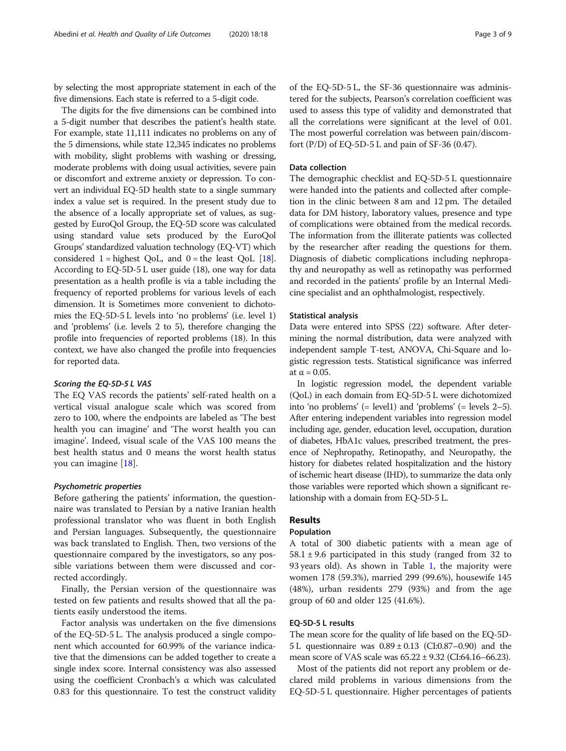by selecting the most appropriate statement in each of the five dimensions. Each state is referred to a 5-digit code.

The digits for the five dimensions can be combined into a 5-digit number that describes the patient's health state. For example, state 11,111 indicates no problems on any of the 5 dimensions, while state 12,345 indicates no problems with mobility, slight problems with washing or dressing, moderate problems with doing usual activities, severe pain or discomfort and extreme anxiety or depression. To convert an individual EQ-5D health state to a single summary index a value set is required. In the present study due to the absence of a locally appropriate set of values, as suggested by EuroQol Group, the EQ-5D score was calculated using standard value sets produced by the EuroQol Groups' standardized valuation technology (EQ-VT) which considered  $1 =$  highest QoL, and  $0 =$  the least QoL [[18](#page-8-0)]. According to EQ-5D-5 L user guide (18), one way for data presentation as a health profile is via a table including the frequency of reported problems for various levels of each dimension. It is Sometimes more convenient to dichotomies the EQ-5D-5 L levels into 'no problems' (i.e. level 1) and 'problems' (i.e. levels 2 to 5), therefore changing the profile into frequencies of reported problems (18). In this context, we have also changed the profile into frequencies for reported data.

## Scoring the EQ-5D-5 L VAS

The EQ VAS records the patients' self-rated health on a vertical visual analogue scale which was scored from zero to 100, where the endpoints are labeled as 'The best health you can imagine' and 'The worst health you can imagine'. Indeed, visual scale of the VAS 100 means the best health status and 0 means the worst health status you can imagine [[18\]](#page-8-0).

## Psychometric properties

Before gathering the patients' information, the questionnaire was translated to Persian by a native Iranian health professional translator who was fluent in both English and Persian languages. Subsequently, the questionnaire was back translated to English. Then, two versions of the questionnaire compared by the investigators, so any possible variations between them were discussed and corrected accordingly.

Finally, the Persian version of the questionnaire was tested on few patients and results showed that all the patients easily understood the items.

Factor analysis was undertaken on the five dimensions of the EQ-5D-5 L. The analysis produced a single component which accounted for 60.99% of the variance indicative that the dimensions can be added together to create a single index score. Internal consistency was also assessed using the coefficient Cronbach's α which was calculated 0.83 for this questionnaire. To test the construct validity of the EQ-5D-5 L, the SF-36 questionnaire was administered for the subjects, Pearson's correlation coefficient was used to assess this type of validity and demonstrated that all the correlations were significant at the level of 0.01. The most powerful correlation was between pain/discomfort  $(P/D)$  of EQ-5D-5 L and pain of SF-36 (0.47).

## Data collection

The demographic checklist and EQ-5D-5 L questionnaire were handed into the patients and collected after completion in the clinic between 8 am and 12 pm. The detailed data for DM history, laboratory values, presence and type of complications were obtained from the medical records. The information from the illiterate patients was collected by the researcher after reading the questions for them. Diagnosis of diabetic complications including nephropathy and neuropathy as well as retinopathy was performed and recorded in the patients' profile by an Internal Medicine specialist and an ophthalmologist, respectively.

## Statistical analysis

Data were entered into SPSS (22) software. After determining the normal distribution, data were analyzed with independent sample T-test, ANOVA, Chi-Square and logistic regression tests. Statistical significance was inferred at  $\alpha = 0.05$ .

In logistic regression model, the dependent variable (QoL) in each domain from EQ-5D-5 L were dichotomized into 'no problems' (= level1) and 'problems' (= levels 2–5). After entering independent variables into regression model including age, gender, education level, occupation, duration of diabetes, HbA1c values, prescribed treatment, the presence of Nephropathy, Retinopathy, and Neuropathy, the history for diabetes related hospitalization and the history of ischemic heart disease (IHD), to summarize the data only those variables were reported which shown a significant relationship with a domain from EQ-5D-5 L.

## Results

## Population

A total of 300 diabetic patients with a mean age of  $58.1 \pm 9.6$  participated in this study (ranged from 32 to 93 years old). As shown in Table [1](#page-3-0), the majority were women 178 (59.3%), married 299 (99.6%), housewife 145 (48%), urban residents 279 (93%) and from the age group of 60 and older 125 (41.6%).

## EQ-5D-5 L results

The mean score for the quality of life based on the EQ-5D-5 L questionnaire was 0.89 ± 0.13 (CI:0.87–0.90) and the mean score of VAS scale was 65.22 ± 9.32 (CI:64.16–66.23).

Most of the patients did not report any problem or declared mild problems in various dimensions from the EQ-5D-5 L questionnaire. Higher percentages of patients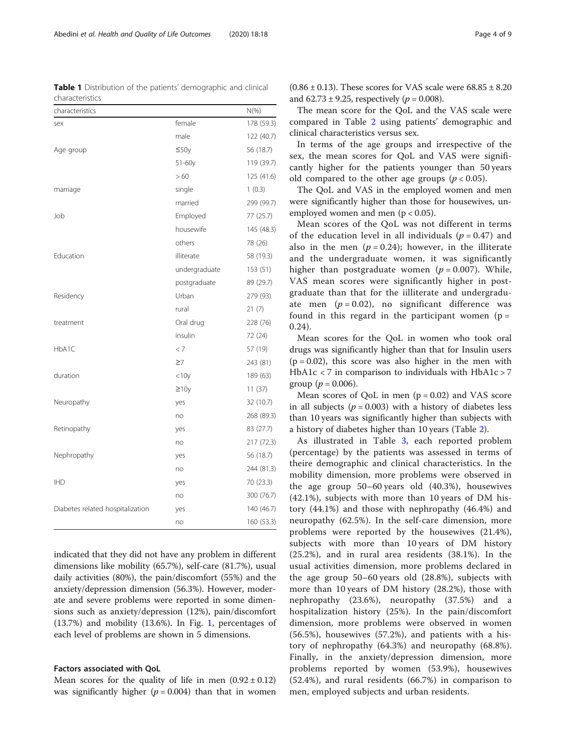<span id="page-3-0"></span>Table 1 Distribution of the patients' demographic and clinical characteristics

| characteristics                  |               | $N(\%)$    |
|----------------------------------|---------------|------------|
| sex                              | female        | 178 (59.3) |
|                                  | male          | 122 (40.7) |
| Age group                        | $\leq 50y$    | 56 (18.7)  |
|                                  | 51-60y        | 119 (39.7) |
|                                  | > 60          | 125 (41.6) |
| marriage                         | single        | 1(0.3)     |
|                                  | married       | 299 (99.7) |
| Job                              | Employed      | 77 (25.7)  |
|                                  | housewife     | 145 (48.3) |
|                                  | others        | 78 (26)    |
| Education                        | illiterate    | 58 (19.3)  |
|                                  | undergraduate | 153 (51)   |
|                                  | postgraduate  | 89 (29.7)  |
| Residency                        | Urban         | 279 (93)   |
|                                  | rural         | 21(7)      |
| treatment                        | Oral drug     | 228 (76)   |
|                                  | insulin       | 72 (24)    |
| HbA1C                            | < 7           | 57 (19)    |
|                                  | $\geq$ 7      | 243 (81)   |
| duration                         | $<$ 10y       | 189 (63)   |
|                                  | $\geq 10y$    | 11(37)     |
| Neuropathy                       | yes           | 32 (10.7)  |
|                                  | no            | 268 (89.3) |
| Retinopathy                      | yes           | 83 (27.7)  |
|                                  | no            | 217 (72.3) |
| Nephropathy                      | yes           | 56 (18.7)  |
|                                  | no            | 244 (81.3) |
| <b>IHD</b>                       | yes           | 70 (23.3)  |
|                                  | no            | 300 (76.7) |
| Diabetes related hospitalization | yes           | 140 (46.7) |
|                                  | no            | 160 (53.3) |

indicated that they did not have any problem in different dimensions like mobility (65.7%), self-care (81.7%), usual daily activities (80%), the pain/discomfort (55%) and the anxiety/depression dimension (56.3%). However, moderate and severe problems were reported in some dimensions such as anxiety/depression (12%), pain/discomfort (13.7%) and mobility (13.6%). In Fig. [1](#page-4-0), percentages of each level of problems are shown in 5 dimensions.

## Factors associated with QoL

Mean scores for the quality of life in men  $(0.92 \pm 0.12)$ was significantly higher ( $p = 0.004$ ) than that in women

 $(0.86 \pm 0.13)$ . These scores for VAS scale were  $68.85 \pm 8.20$ and  $62.73 \pm 9.25$ , respectively ( $p = 0.008$ ).

The mean score for the QoL and the VAS scale were compared in Table [2](#page-4-0) using patients' demographic and clinical characteristics versus sex.

In terms of the age groups and irrespective of the sex, the mean scores for QoL and VAS were significantly higher for the patients younger than 50 years old compared to the other age groups ( $p < 0.05$ ).

The QoL and VAS in the employed women and men were significantly higher than those for housewives, unemployed women and men  $(p < 0.05)$ .

Mean scores of the QoL was not different in terms of the education level in all individuals ( $p = 0.47$ ) and also in the men  $(p = 0.24)$ ; however, in the illiterate and the undergraduate women, it was significantly higher than postgraduate women ( $p = 0.007$ ). While, VAS mean scores were significantly higher in postgraduate than that for the iilliterate and undergraduate men  $(p = 0.02)$ , no significant difference was found in this regard in the participant women  $(p =$ 0.24).

Mean scores for the QoL in women who took oral drugs was significantly higher than that for Insulin users  $(p = 0.02)$ , this score was also higher in the men with HbA1c < 7 in comparison to individuals with  $HbA1c > 7$ group ( $p = 0.006$ ).

Mean scores of OoL in men  $(p = 0.02)$  and VAS score in all subjects ( $p = 0.003$ ) with a history of diabetes less than 10 years was significantly higher than subjects with a history of diabetes higher than 10 years (Table [2](#page-4-0)).

As illustrated in Table [3,](#page-5-0) each reported problem (percentage) by the patients was assessed in terms of theire demographic and clinical characteristics. In the mobility dimension, more problems were observed in the age group 50–60 years old (40.3%), housewives (42.1%), subjects with more than 10 years of DM history (44.1%) and those with nephropathy (46.4%) and neuropathy (62.5%). In the self-care dimension, more problems were reported by the housewives (21.4%), subjects with more than 10 years of DM history (25.2%), and in rural area residents (38.1%). In the usual activities dimension, more problems declared in the age group 50–60 years old (28.8%), subjects with more than 10 years of DM history (28.2%), those with nephropathy (23.6%), neuropathy (37.5%) and a hospitalization history (25%). In the pain/discomfort dimension, more problems were observed in women (56.5%), housewives (57.2%), and patients with a history of nephropathy (64.3%) and neuropathy (68.8%). Finally, in the anxiety/depression dimension, more problems reported by women (53.9%), housewives (52.4%), and rural residents (66.7%) in comparison to men, employed subjects and urban residents.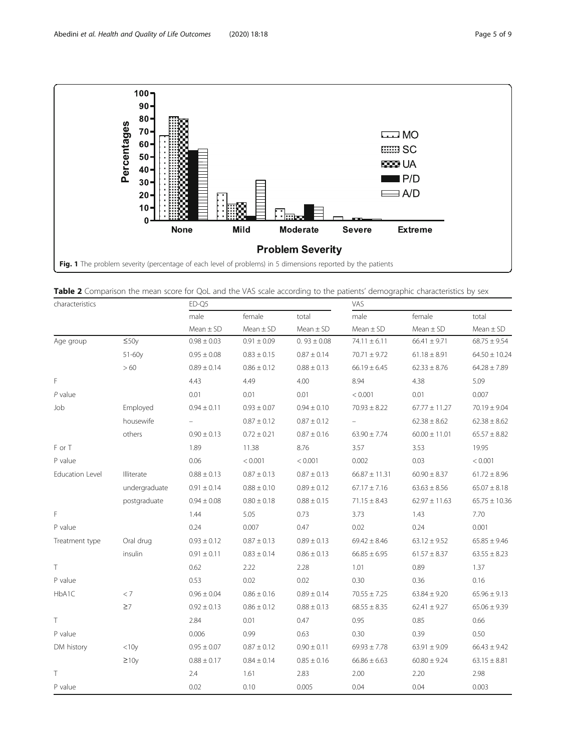<span id="page-4-0"></span>

| Table 2 Comparison the mean score for QoL and the VAS scale according to the patients' demographic characteristics by sex |             |             |             |             |             |             |  |
|---------------------------------------------------------------------------------------------------------------------------|-------------|-------------|-------------|-------------|-------------|-------------|--|
| characteristics                                                                                                           | $ED-OS$     |             |             | vas         |             |             |  |
|                                                                                                                           | male        | female      | total       | male        | female      | total       |  |
|                                                                                                                           | Mean $+$ SD | Mean $+$ SD | Mean $+$ SD | $Mean + SD$ | Mean $+$ SD | Mean $+$ SC |  |

|                 |               | male            | female          | total            | male              | female            | total             |
|-----------------|---------------|-----------------|-----------------|------------------|-------------------|-------------------|-------------------|
|                 |               | $Mean \pm SD$   | $Mean \pm SD$   | $Mean \pm SD$    | $Mean \pm SD$     | $Mean \pm SD$     | $Mean \pm SD$     |
| Age group       | $\leq 50y$    | $0.98 \pm 0.03$ | $0.91 \pm 0.09$ | 0. $93 \pm 0.08$ | $74.11 \pm 6.11$  | $66.41 \pm 9.71$  | $68.75 \pm 9.54$  |
|                 | 51-60y        | $0.95 \pm 0.08$ | $0.83 \pm 0.15$ | $0.87 \pm 0.14$  | $70.71 \pm 9.72$  | $61.18 \pm 8.91$  | $64.50 \pm 10.24$ |
|                 | >60           | $0.89 \pm 0.14$ | $0.86 \pm 0.12$ | $0.88 \pm 0.13$  | $66.19 \pm 6.45$  | $62.33 \pm 8.76$  | $64.28 \pm 7.89$  |
| F               |               | 4.43            | 4.49            | 4.00             | 8.94              | 4.38              | 5.09              |
| $P$ value       |               | 0.01            | 0.01            | 0.01             | < 0.001           | 0.01              | 0.007             |
| Job             | Employed      | $0.94 \pm 0.11$ | $0.93 \pm 0.07$ | $0.94 \pm 0.10$  | $70.93 \pm 8.22$  | $67.77 \pm 11.27$ | $70.19 \pm 9.04$  |
|                 | housewife     |                 | $0.87 \pm 0.12$ | $0.87 \pm 0.12$  |                   | $62.38 \pm 8.62$  | $62.38 \pm 8.62$  |
|                 | others        | $0.90 \pm 0.13$ | $0.72 \pm 0.21$ | $0.87 \pm 0.16$  | $63.90 \pm 7.74$  | $60.00 \pm 11.01$ | $65.57 \pm 8.82$  |
| F or T          |               | 1.89            | 11.38           | 8.76             | 3.57              | 3.53              | 19.95             |
| P value         |               | 0.06            | < 0.001         | < 0.001          | 0.002             | 0.03              | < 0.001           |
| Education Level | Illiterate    | $0.88 \pm 0.13$ | $0.87 \pm 0.13$ | $0.87 \pm 0.13$  | $66.87 \pm 11.31$ | $60.90 \pm 8.37$  | $61.72 \pm 8.96$  |
|                 | undergraduate | $0.91 \pm 0.14$ | $0.88 \pm 0.10$ | $0.89 \pm 0.12$  | $67.17 \pm 7.16$  | $63.63 \pm 8.56$  | $65.07 \pm 8.18$  |
|                 | postgraduate  | $0.94 \pm 0.08$ | $0.80 \pm 0.18$ | $0.88 \pm 0.15$  | $71.15 \pm 8.43$  | $62.97 \pm 11.63$ | $65.75 \pm 10.36$ |
| F               |               | 1.44            | 5.05            | 0.73             | 3.73              | 1.43              | 7.70              |
| P value         |               | 0.24            | 0.007           | 0.47             | 0.02              | 0.24              | 0.001             |
| Treatment type  | Oral drug     | $0.93 \pm 0.12$ | $0.87 \pm 0.13$ | $0.89 \pm 0.13$  | $69.42 \pm 8.46$  | $63.12 \pm 9.52$  | $65.85 \pm 9.46$  |
|                 | insulin       | $0.91 \pm 0.11$ | $0.83 \pm 0.14$ | $0.86 \pm 0.13$  | $66.85 \pm 6.95$  | $61.57 \pm 8.37$  | $63.55 \pm 8.23$  |
| Τ               |               | 0.62            | 2.22            | 2.28             | 1.01              | 0.89              | 1.37              |
| P value         |               | 0.53            | 0.02            | 0.02             | 0.30              | 0.36              | 0.16              |
| HbA1C           | < 7           | $0.96 \pm 0.04$ | $0.86 \pm 0.16$ | $0.89 \pm 0.14$  | $70.55 \pm 7.25$  | $63.84 \pm 9.20$  | $65.96 \pm 9.13$  |
|                 | $\geq$ 7      | $0.92 \pm 0.13$ | $0.86 \pm 0.12$ | $0.88 \pm 0.13$  | $68.55 \pm 8.35$  | $62.41 \pm 9.27$  | $65.06 \pm 9.39$  |
| Τ               |               | 2.84            | 0.01            | 0.47             | 0.95              | 0.85              | 0.66              |
| P value         |               | 0.006           | 0.99            | 0.63             | 0.30              | 0.39              | 0.50              |
| DM history      | <10y          | $0.95 \pm 0.07$ | $0.87 \pm 0.12$ | $0.90 \pm 0.11$  | $69.93 \pm 7.78$  | $63.91 \pm 9.09$  | $66.43 \pm 9.42$  |
|                 | $\geq 10y$    | $0.88 \pm 0.17$ | $0.84 \pm 0.14$ | $0.85 \pm 0.16$  | $66.86 \pm 6.63$  | $60.80 \pm 9.24$  | $63.15 \pm 8.81$  |
| Τ               |               | 2.4             | 1.61            | 2.83             | 2.00              | 2.20              | 2.98              |
| P value         |               | 0.02            | 0.10            | 0.005            | 0.04              | 0.04              | 0.003             |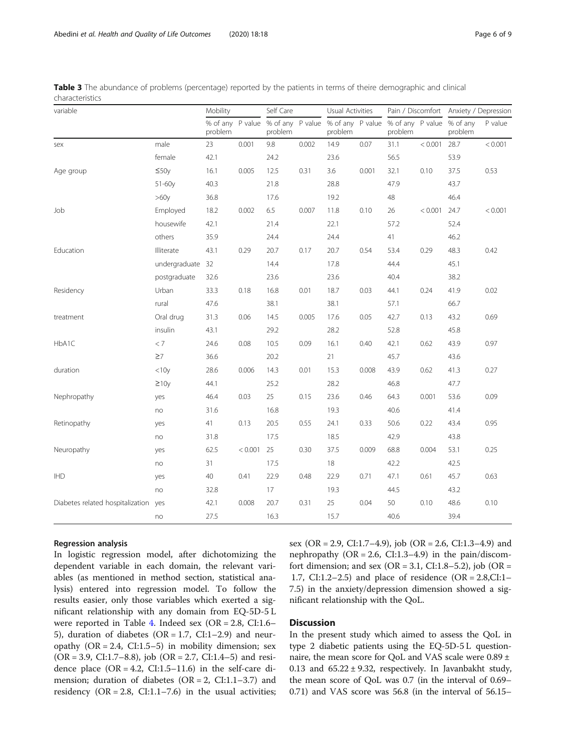| variable                             |               | Mobility                    |         | Self Care                   |       | Usual Activities            |       | Pain / Discomfort           |         | Anxiety / Depression |         |
|--------------------------------------|---------------|-----------------------------|---------|-----------------------------|-------|-----------------------------|-------|-----------------------------|---------|----------------------|---------|
|                                      |               | % of any P value<br>problem |         | % of any P value<br>problem |       | % of any P value<br>problem |       | % of any P value<br>problem |         | % of any<br>problem  | P value |
| sex                                  | male          | 23                          | 0.001   | 9.8                         | 0.002 | 14.9                        | 0.07  | 31.1                        | < 0.001 | 28.7                 | < 0.001 |
|                                      | female        | 42.1                        |         | 24.2                        |       | 23.6                        |       | 56.5                        |         | 53.9                 |         |
| Age group                            | $\leq 50y$    | 16.1                        | 0.005   | 12.5                        | 0.31  | 3.6                         | 0.001 | 32.1                        | 0.10    | 37.5                 | 0.53    |
|                                      | $51-60y$      | 40.3                        |         | 21.8                        |       | 28.8                        |       | 47.9                        |         | 43.7                 |         |
|                                      | >60y          | 36.8                        |         | 17.6                        |       | 19.2                        |       | 48                          |         | 46.4                 |         |
| Job                                  | Employed      | 18.2                        | 0.002   | 6.5                         | 0.007 | 11.8                        | 0.10  | 26                          | < 0.001 | 24.7                 | < 0.001 |
|                                      | housewife     | 42.1                        |         | 21.4                        |       | 22.1                        |       | 57.2                        |         | 52.4                 |         |
|                                      | others        | 35.9                        |         | 24.4                        |       | 24.4                        |       | 41                          |         | 46.2                 |         |
| Education                            | Illiterate    | 43.1                        | 0.29    | 20.7                        | 0.17  | 20.7                        | 0.54  | 53.4                        | 0.29    | 48.3                 | 0.42    |
|                                      | undergraduate | -32                         |         | 14.4                        |       | 17.8                        |       | 44.4                        |         | 45.1                 |         |
|                                      | postgraduate  | 32.6                        |         | 23.6                        |       | 23.6                        |       | 40.4                        |         | 38.2                 |         |
| Residency                            | Urban         | 33.3                        | 0.18    | 16.8                        | 0.01  | 18.7                        | 0.03  | 44.1                        | 0.24    | 41.9                 | 0.02    |
|                                      | rural         | 47.6                        |         | 38.1                        |       | 38.1                        |       | 57.1                        |         | 66.7                 |         |
| treatment                            | Oral drug     | 31.3                        | 0.06    | 14.5                        | 0.005 | 17.6                        | 0.05  | 42.7                        | 0.13    | 43.2                 | 0.69    |
|                                      | insulin       | 43.1                        |         | 29.2                        |       | 28.2                        |       | 52.8                        |         | 45.8                 |         |
| HbA1C                                | < 7           | 24.6                        | 0.08    | 10.5                        | 0.09  | 16.1                        | 0.40  | 42.1                        | 0.62    | 43.9                 | 0.97    |
|                                      | $\geq 7$      | 36.6                        |         | 20.2                        |       | 21                          |       | 45.7                        |         | 43.6                 |         |
| duration                             | <10y          | 28.6                        | 0.006   | 14.3                        | 0.01  | 15.3                        | 0.008 | 43.9                        | 0.62    | 41.3                 | 0.27    |
|                                      | $\geq 10y$    | 44.1                        |         | 25.2                        |       | 28.2                        |       | 46.8                        |         | 47.7                 |         |
| Nephropathy                          | yes           | 46.4                        | 0.03    | 25                          | 0.15  | 23.6                        | 0.46  | 64.3                        | 0.001   | 53.6                 | 0.09    |
|                                      | no            | 31.6                        |         | 16.8                        |       | 19.3                        |       | 40.6                        |         | 41.4                 |         |
| Retinopathy                          | yes           | 41                          | 0.13    | 20.5                        | 0.55  | 24.1                        | 0.33  | 50.6                        | 0.22    | 43.4                 | 0.95    |
|                                      | no            | 31.8                        |         | 17.5                        |       | 18.5                        |       | 42.9                        |         | 43.8                 |         |
| Neuropathy                           | yes           | 62.5                        | < 0.001 | 25                          | 0.30  | 37.5                        | 0.009 | 68.8                        | 0.004   | 53.1                 | 0.25    |
|                                      | no            | 31                          |         | 17.5                        |       | 18                          |       | 42.2                        |         | 42.5                 |         |
| <b>IHD</b>                           | yes           | 40                          | 0.41    | 22.9                        | 0.48  | 22.9                        | 0.71  | 47.1                        | 0.61    | 45.7                 | 0.63    |
|                                      | no            | 32.8                        |         | 17                          |       | 19.3                        |       | 44.5                        |         | 43.2                 |         |
| Diabetes related hospitalization yes |               | 42.1                        | 0.008   | 20.7                        | 0.31  | 25                          | 0.04  | 50                          | 0.10    | 48.6                 | 0.10    |
|                                      | no            | 27.5                        |         | 16.3                        |       | 15.7                        |       | 40.6                        |         | 39.4                 |         |

<span id="page-5-0"></span>Table 3 The abundance of problems (percentage) reported by the patients in terms of theire demographic and clinical characteristics

## Regression analysis

In logistic regression model, after dichotomizing the dependent variable in each domain, the relevant variables (as mentioned in method section, statistical analysis) entered into regression model. To follow the results easier, only those variables which exerted a significant relationship with any domain from EQ-5D-5 L were reported in Table [4.](#page-6-0) Indeed sex (OR = 2.8, CI:1.6– 5), duration of diabetes ( $OR = 1.7$ ,  $CI:1-2.9$ ) and neuropathy  $(OR = 2.4, CI:1.5-5)$  in mobility dimension; sex  $(OR = 3.9, CI: 1.7–8.8)$ , job  $(OR = 2.7, CI: 1.4–5)$  and residence place  $(OR = 4.2, CI:1.5–11.6)$  in the self-care dimension; duration of diabetes  $(OR = 2, CI:1.1-3.7)$  and residency ( $OR = 2.8$ ,  $CI:1.1-7.6$ ) in the usual activities; sex (OR = 2.9, CI:1.7–4.9), job (OR = 2.6, CI:1.3–4.9) and nephropathy  $(OR = 2.6, CI:1.3-4.9)$  in the pain/discomfort dimension; and sex ( $OR = 3.1$ ,  $CI:1.8-5.2$ ), job ( $OR =$ 1.7, CI:1.2–2.5) and place of residence (OR = 2.8,CI:1– 7.5) in the anxiety/depression dimension showed a significant relationship with the QoL.

## **Discussion**

In the present study which aimed to assess the QoL in type 2 diabetic patients using the EQ-5D-5 L questionnaire, the mean score for QoL and VAS scale were  $0.89 \pm 1$ 0.13 and  $65.22 \pm 9.32$ , respectively. In Javanbakht study, the mean score of QoL was 0.7 (in the interval of 0.69– 0.71) and VAS score was 56.8 (in the interval of 56.15–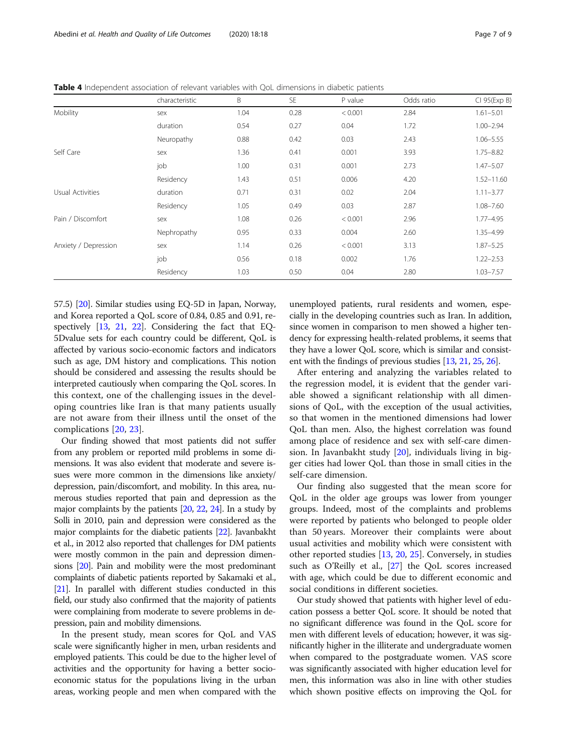<span id="page-6-0"></span>Table 4 Independent association of relevant variables with QoL dimensions in diabetic patients

|                      | characteristic | B    | <b>SE</b> | P value | Odds ratio | CI 95(Exp B)   |
|----------------------|----------------|------|-----------|---------|------------|----------------|
| Mobility             | sex            | 1.04 | 0.28      | < 0.001 | 2.84       | $1.61 - 5.01$  |
|                      | duration       | 0.54 | 0.27      | 0.04    | 1.72       | $1.00 - 2.94$  |
|                      | Neuropathy     | 0.88 | 0.42      | 0.03    | 2.43       | $1.06 - 5.55$  |
| Self Care            | sex            | 1.36 | 0.41      | 0.001   | 3.93       | $1.75 - 8.82$  |
|                      | job            | 1.00 | 0.31      | 0.001   | 2.73       | 1.47-5.07      |
|                      | Residency      | 1.43 | 0.51      | 0.006   | 4.20       | $1.52 - 11.60$ |
| Usual Activities     | duration       | 0.71 | 0.31      | 0.02    | 2.04       | $1.11 - 3.77$  |
|                      | Residency      | 1.05 | 0.49      | 0.03    | 2.87       | $1.08 - 7.60$  |
| Pain / Discomfort    | sex            | 1.08 | 0.26      | < 0.001 | 2.96       | $1.77 - 4.95$  |
|                      | Nephropathy    | 0.95 | 0.33      | 0.004   | 2.60       | 1.35-4.99      |
| Anxiety / Depression | sex            | 1.14 | 0.26      | < 0.001 | 3.13       | $1.87 - 5.25$  |
|                      | job            | 0.56 | 0.18      | 0.002   | 1.76       | $1.22 - 2.53$  |
|                      | Residency      | 1.03 | 0.50      | 0.04    | 2.80       | $1.03 - 7.57$  |

57.5) [[20](#page-8-0)]. Similar studies using EQ-5D in Japan, Norway, and Korea reported a QoL score of 0.84, 0.85 and 0.91, respectively [\[13,](#page-8-0) [21](#page-8-0), [22\]](#page-8-0). Considering the fact that EQ-5Dvalue sets for each country could be different, QoL is affected by various socio-economic factors and indicators such as age, DM history and complications. This notion should be considered and assessing the results should be interpreted cautiously when comparing the QoL scores. In this context, one of the challenging issues in the developing countries like Iran is that many patients usually are not aware from their illness until the onset of the complications [[20,](#page-8-0) [23](#page-8-0)].

Our finding showed that most patients did not suffer from any problem or reported mild problems in some dimensions. It was also evident that moderate and severe issues were more common in the dimensions like anxiety/ depression, pain/discomfort, and mobility. In this area, numerous studies reported that pain and depression as the major complaints by the patients [[20,](#page-8-0) [22](#page-8-0), [24\]](#page-8-0). In a study by Solli in 2010, pain and depression were considered as the major complaints for the diabetic patients [\[22](#page-8-0)]. Javanbakht et al., in 2012 also reported that challenges for DM patients were mostly common in the pain and depression dimensions [\[20\]](#page-8-0). Pain and mobility were the most predominant complaints of diabetic patients reported by Sakamaki et al., [[21](#page-8-0)]. In parallel with different studies conducted in this field, our study also confirmed that the majority of patients were complaining from moderate to severe problems in depression, pain and mobility dimensions.

In the present study, mean scores for QoL and VAS scale were significantly higher in men, urban residents and employed patients. This could be due to the higher level of activities and the opportunity for having a better socioeconomic status for the populations living in the urban areas, working people and men when compared with the unemployed patients, rural residents and women, especially in the developing countries such as Iran. In addition, since women in comparison to men showed a higher tendency for expressing health-related problems, it seems that they have a lower QoL score, which is similar and consistent with the findings of previous studies [\[13,](#page-8-0) [21](#page-8-0), [25](#page-8-0), [26](#page-8-0)].

After entering and analyzing the variables related to the regression model, it is evident that the gender variable showed a significant relationship with all dimensions of QoL, with the exception of the usual activities, so that women in the mentioned dimensions had lower QoL than men. Also, the highest correlation was found among place of residence and sex with self-care dimension. In Javanbakht study [[20](#page-8-0)], individuals living in bigger cities had lower QoL than those in small cities in the self-care dimension.

Our finding also suggested that the mean score for QoL in the older age groups was lower from younger groups. Indeed, most of the complaints and problems were reported by patients who belonged to people older than 50 years. Moreover their complaints were about usual activities and mobility which were consistent with other reported studies [\[13](#page-8-0), [20](#page-8-0), [25](#page-8-0)]. Conversely, in studies such as O'Reilly et al., [[27\]](#page-8-0) the QoL scores increased with age, which could be due to different economic and social conditions in different societies.

Our study showed that patients with higher level of education possess a better QoL score. It should be noted that no significant difference was found in the QoL score for men with different levels of education; however, it was significantly higher in the illiterate and undergraduate women when compared to the postgraduate women. VAS score was significantly associated with higher education level for men, this information was also in line with other studies which shown positive effects on improving the QoL for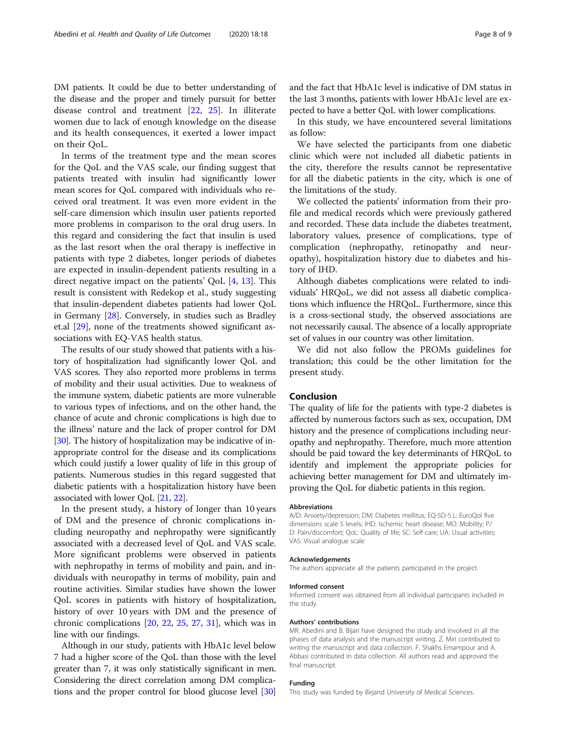DM patients. It could be due to better understanding of the disease and the proper and timely pursuit for better disease control and treatment [[22,](#page-8-0) [25](#page-8-0)]. In illiterate women due to lack of enough knowledge on the disease and its health consequences, it exerted a lower impact on their QoL.

In terms of the treatment type and the mean scores for the QoL and the VAS scale, our finding suggest that patients treated with insulin had significantly lower mean scores for QoL compared with individuals who received oral treatment. It was even more evident in the self-care dimension which insulin user patients reported more problems in comparison to the oral drug users. In this regard and considering the fact that insulin is used as the last resort when the oral therapy is ineffective in patients with type 2 diabetes, longer periods of diabetes are expected in insulin-dependent patients resulting in a direct negative impact on the patients' QoL [[4](#page-8-0), [13\]](#page-8-0). This result is consistent with Redekop et al., study suggesting that insulin-dependent diabetes patients had lower QoL in Germany [[28\]](#page-8-0). Conversely, in studies such as Bradley et.al [\[29](#page-8-0)], none of the treatments showed significant associations with EQ-VAS health status.

The results of our study showed that patients with a history of hospitalization had significantly lower QoL and VAS scores. They also reported more problems in terms of mobility and their usual activities. Due to weakness of the immune system, diabetic patients are more vulnerable to various types of infections, and on the other hand, the chance of acute and chronic complications is high due to the illness' nature and the lack of proper control for DM [[30](#page-8-0)]. The history of hospitalization may be indicative of inappropriate control for the disease and its complications which could justify a lower quality of life in this group of patients. Numerous studies in this regard suggested that diabetic patients with a hospitalization history have been associated with lower QoL [\[21](#page-8-0), [22](#page-8-0)].

In the present study, a history of longer than 10 years of DM and the presence of chronic complications including neuropathy and nephropathy were significantly associated with a decreased level of QoL and VAS scale. More significant problems were observed in patients with nephropathy in terms of mobility and pain, and individuals with neuropathy in terms of mobility, pain and routine activities. Similar studies have shown the lower QoL scores in patients with history of hospitalization, history of over 10 years with DM and the presence of chronic complications [[20,](#page-8-0) [22](#page-8-0), [25,](#page-8-0) [27](#page-8-0), [31\]](#page-8-0), which was in line with our findings.

Although in our study, patients with HbA1c level below 7 had a higher score of the QoL than those with the level greater than 7, it was only statistically significant in men. Considering the direct correlation among DM complications and the proper control for blood glucose level [[30](#page-8-0)] and the fact that HbA1c level is indicative of DM status in the last 3 months, patients with lower HbA1c level are expected to have a better QoL with lower complications.

In this study, we have encountered several limitations as follow:

We have selected the participants from one diabetic clinic which were not included all diabetic patients in the city, therefore the results cannot be representative for all the diabetic patients in the city, which is one of the limitations of the study.

We collected the patients' information from their profile and medical records which were previously gathered and recorded. These data include the diabetes treatment, laboratory values, presence of complications, type of complication (nephropathy, retinopathy and neuropathy), hospitalization history due to diabetes and history of IHD.

Although diabetes complications were related to individuals' HRQoL, we did not assess all diabetic complications which influence the HRQoL. Furthermore, since this is a cross-sectional study, the observed associations are not necessarily causal. The absence of a locally appropriate set of values in our country was other limitation.

We did not also follow the PROMs guidelines for translation; this could be the other limitation for the present study.

## Conclusion

The quality of life for the patients with type-2 diabetes is affected by numerous factors such as sex, occupation, DM history and the presence of complications including neuropathy and nephropathy. Therefore, much more attention should be paid toward the key determinants of HRQoL to identify and implement the appropriate policies for achieving better management for DM and ultimately improving the QoL for diabetic patients in this region.

#### **Abbreviations**

A/D: Anxiety/depression; DM: Diabetes mellitus; EQ-5D-5 L: EuroQol five dimensions scale 5 levels; IHD: Ischemic heart disease; MO: Mobility; P/ D: Pain/discomfort; QoL: Quality of life; SC: Self-care; UA: Usual activities; VAS: Visual analogue scale

## Acknowledgements

The authors appreciate all the patients participated in the project.

### Informed consent

Informed consent was obtained from all individual participants included in the study.

### Authors' contributions

MR. Abedini and B. Bijari have designed the study and involved in all the phases of data analysis and the manuscript writing. Z. Miri contributed to writing the manuscript and data collection. F. Shakhs Emampour and A. Abbasi contributed in data collection. All authors read and approved the final manuscript.

## Funding

This study was funded by Birjand University of Medical Sciences.